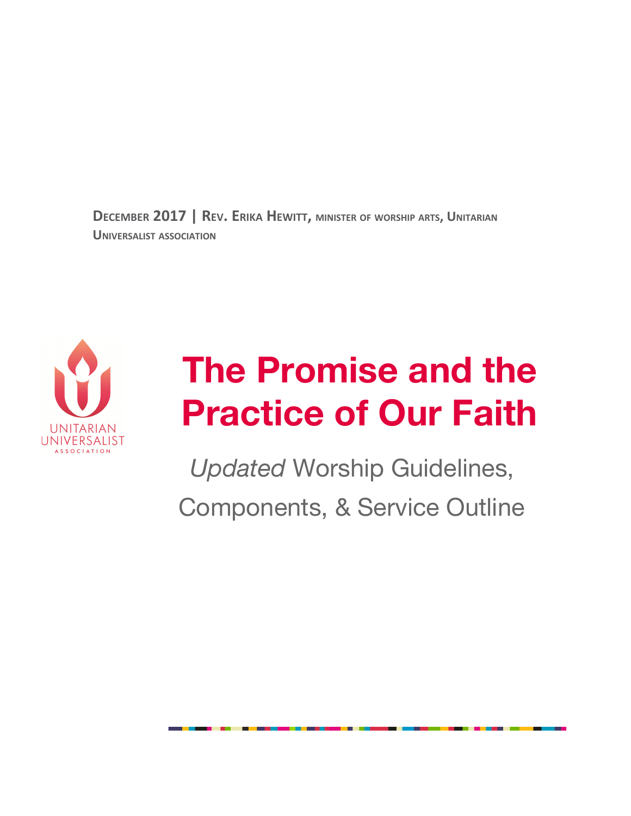**DECEMBER 2017 | REV. ERIKA HEWITT, MINISTER OF WORSHIP ARTS, UNITARIAN UNIVERSALIST ASSOCIATION**



# **The Promise and the Practice of Our Faith**

*Updated* Worship Guidelines, Components, & Service Outline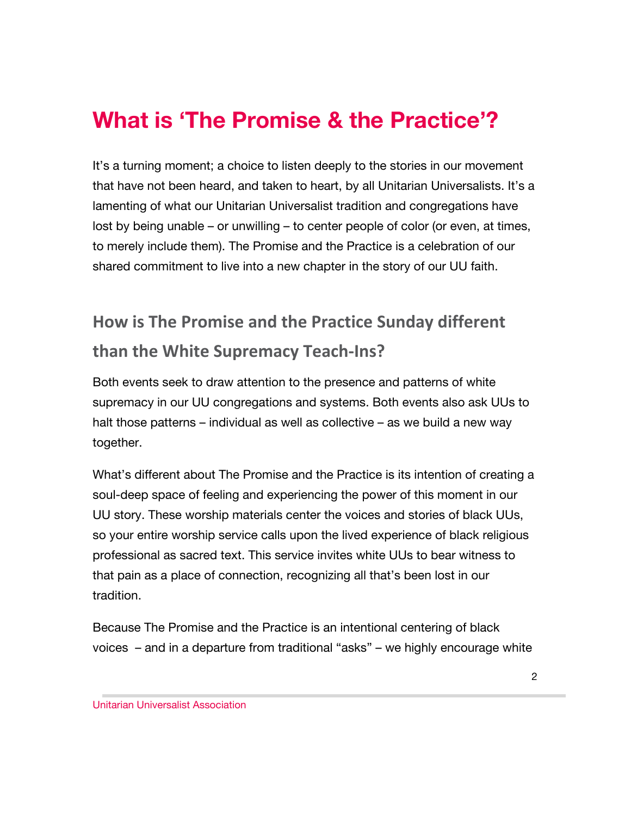# **What is 'The Promise & the Practice'?**

It's a turning moment; a choice to listen deeply to the stories in our movement that have not been heard, and taken to heart, by all Unitarian Universalists. It's a lamenting of what our Unitarian Universalist tradition and congregations have lost by being unable – or unwilling – to center people of color (or even, at times, to merely include them). The Promise and the Practice is a celebration of our shared commitment to live into a new chapter in the story of our UU faith.

# **How is The Promise and the Practice Sunday different than the White Supremacy Teach-Ins?**

Both events seek to draw attention to the presence and patterns of white supremacy in our UU congregations and systems. Both events also ask UUs to halt those patterns – individual as well as collective – as we build a new way together.

What's different about The Promise and the Practice is its intention of creating a soul-deep space of feeling and experiencing the power of this moment in our UU story. These worship materials center the voices and stories of black UUs, so your entire worship service calls upon the lived experience of black religious professional as sacred text. This service invites white UUs to bear witness to that pain as a place of connection, recognizing all that's been lost in our tradition.

Because The Promise and the Practice is an intentional centering of black voices – and in a departure from traditional "asks" – we highly encourage white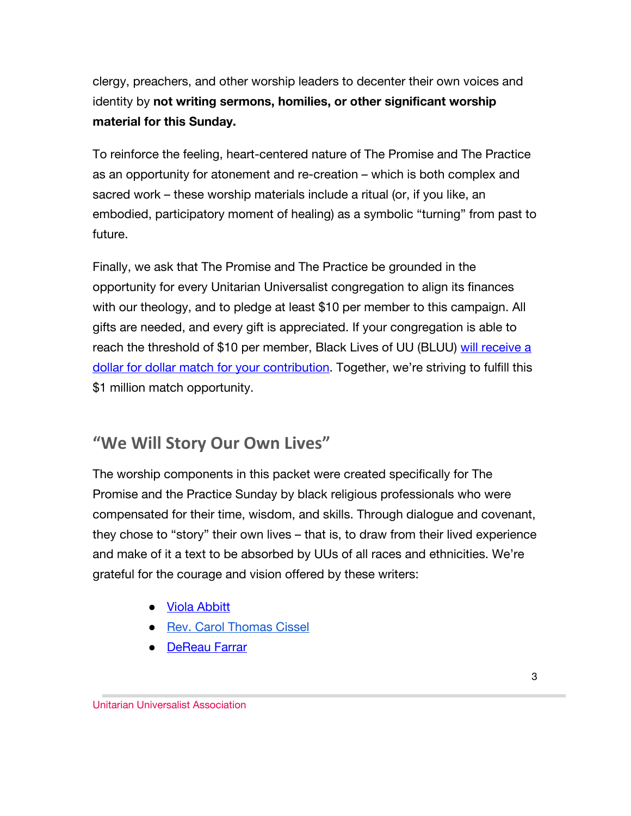clergy, preachers, and other worship leaders to decenter their own voices and identity by **not writing sermons, homilies, or other significant worship material for this Sunday.**

To reinforce the feeling, heart-centered nature of The Promise and The Practice as an opportunity for atonement and re-creation – which is both complex and sacred work – these worship materials include a ritual (or, if you like, an embodied, participatory moment of healing) as a symbolic "turning" from past to future.

Finally, we ask that The Promise and The Practice be grounded in the opportunity for every Unitarian Universalist congregation to align its finances with our theology, and to pledge at least \$10 per member to this campaign. All gifts are needed, and every gift is appreciated. If your congregation is able to reach the threshold of \$10 per member, Black Lives of UU (BLUU) will [receive](https://www.uua.org/giving/areas-support/funds/promise-and-practice/message-susan-frederick-gray) a dollar for dollar match for your [contribution.](https://www.uua.org/giving/areas-support/funds/promise-and-practice/message-susan-frederick-gray) Together, we're striving to fulfill this \$1 million match opportunity.

# **"We Will Story Our Own Lives"**

The worship components in this packet were created specifically for The Promise and the Practice Sunday by black religious professionals who were compensated for their time, wisdom, and skills. Through dialogue and covenant, they chose to "story" their own lives – that is, to draw from their lived experience and make of it a text to be absorbed by UUs of all races and ethnicities. We're grateful for the courage and vision offered by these writers:

- Viola [Abbitt](https://www.uua.org/offices/people/viola-vee-abbitt)
- Rev. Carol [Thomas](https://www.uua.org/offices/people/carol-cissel) Cissel
- [DeReau](http://www.uua.org/directory/people/dereau-k-farrar) Farrar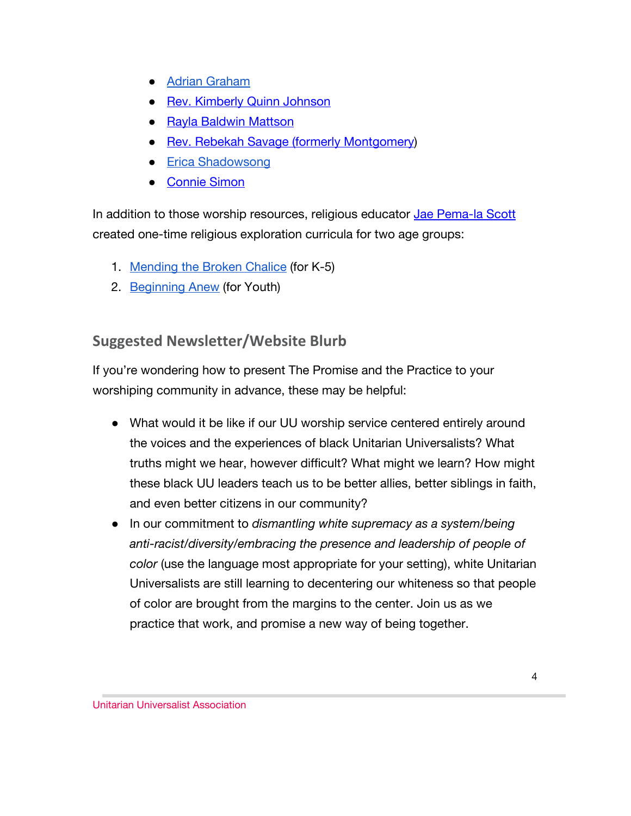- Adrian [Graham](https://www.uua.org/offices/people/adrian-l-h-graham)
- Rev. [Kimberly](https://www.uua.org/offices/people/kimberly-quinn-johnson) Quinn Johnson
- Rayla Baldwin [Mattson](https://www.uua.org/offices/people/rayla-d-baldwin-mattson)
- Rev. Rebekah Savage (formerly [Montgomery](https://www.uua.org/offices/people/rebekah-montgomery))
- Erica [Shadowsong](https://www.uua.org/offices/people/erica-shadowsong)
- [Connie](https://www.uua.org/offices/people/connie-simon) Simon

In addition to those worship resources, religious educator Jae [Pema-la](https://www.uua.org/offices/people/jae-pema-la-scott) Scott created one-time religious exploration curricula for two age groups:

- 1. [Mending](https://www.uua.org/worship/words/curriculum/mending-broken-chalice-k-5) the Broken Chalice (for K-5)
- 2. [Beginning](https://www.uua.org/worship/words/curriculum/beginning-anew-youth) Anew (for Youth)

# **Suggested Newsletter/Website Blurb**

If you're wondering how to present The Promise and the Practice to your worshiping community in advance, these may be helpful:

- What would it be like if our UU worship service centered entirely around the voices and the experiences of black Unitarian Universalists? What truths might we hear, however difficult? What might we learn? How might these black UU leaders teach us to be better allies, better siblings in faith, and even better citizens in our community?
- In our commitment to *dismantling white supremacy as a system/being anti-racist/diversity/embracing the presence and leadership of people of color* (use the language most appropriate for your setting), white Unitarian Universalists are still learning to decentering our whiteness so that people of color are brought from the margins to the center. Join us as we practice that work, and promise a new way of being together.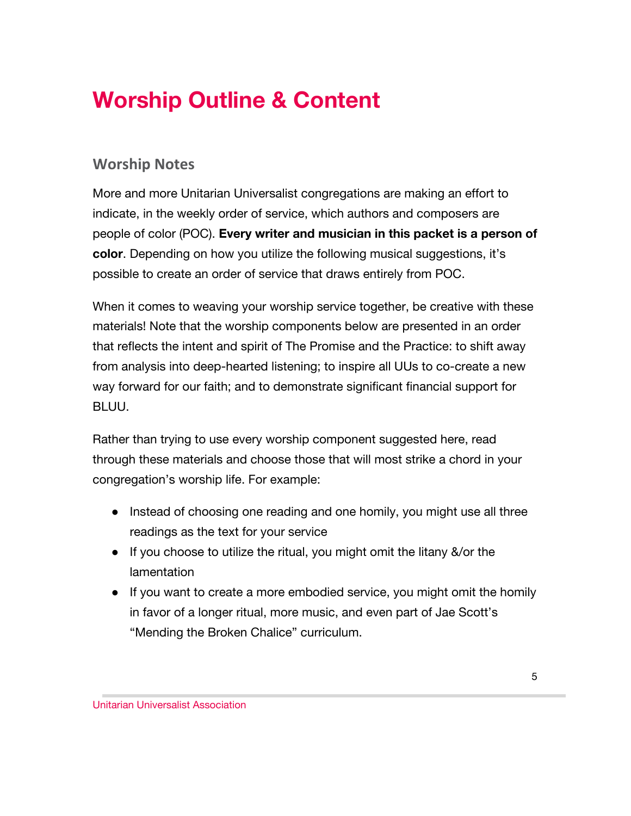# **Worship Outline & Content**

## **Worship Notes**

More and more Unitarian Universalist congregations are making an effort to indicate, in the weekly order of service, which authors and composers are people of color (POC). **Every writer and musician in this packet is a person of color**. Depending on how you utilize the following musical suggestions, it's possible to create an order of service that draws entirely from POC.

When it comes to weaving your worship service together, be creative with these materials! Note that the worship components below are presented in an order that reflects the intent and spirit of The Promise and the Practice: to shift away from analysis into deep-hearted listening; to inspire all UUs to co-create a new way forward for our faith; and to demonstrate significant financial support for BLUU.

Rather than trying to use every worship component suggested here, read through these materials and choose those that will most strike a chord in your congregation's worship life. For example:

- Instead of choosing one reading and one homily, you might use all three readings as the text for your service
- If you choose to utilize the ritual, you might omit the litany &/or the lamentation
- If you want to create a more embodied service, you might omit the homily in favor of a longer ritual, more music, and even part of Jae Scott's "Mending the Broken Chalice" curriculum.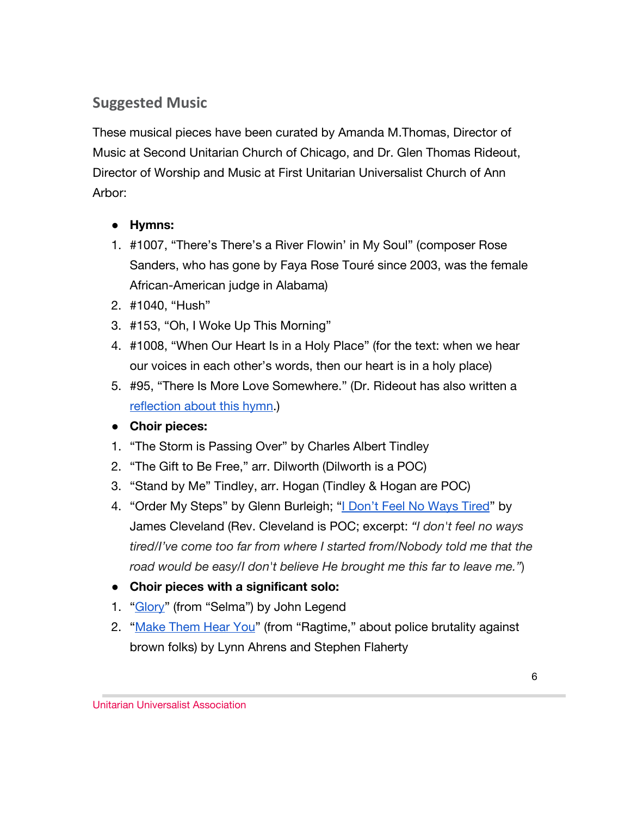# **Suggested Music**

These musical pieces have been curated by Amanda M.Thomas, Director of Music at Second Unitarian Church of Chicago, and Dr. Glen Thomas Rideout, Director of Worship and Music at First Unitarian Universalist Church of Ann Arbor:

- **Hymns:**
- 1. #1007, "There's There's a River Flowin' in My Soul" (composer Rose Sanders, who has gone by Faya Rose Touré since 2003, was the female African-American judge in Alabama)
- 2. #1040, "Hush"
- 3. #153, "Oh, I Woke Up This Morning"
- 4. #1008, "When Our Heart Is in a Holy Place" (for the text: when we hear our voices in each other's words, then our heart is in a holy place)
- 5. #95, "There Is More Love Somewhere." (Dr. Rideout has also written a [reflection](https://www.uua.org/worship/words/reflection/there-more-love-somewhere) about this hymn.)

#### ● **Choir pieces:**

- 1. "The Storm is Passing Over" by Charles Albert Tindley
- 2. "The Gift to Be Free," arr. Dilworth (Dilworth is a POC)
- 3. "Stand by Me" Tindley, arr. Hogan (Tindley & Hogan are POC)
- 4. "Order My Steps" by Glenn Burleigh; "I Don't Feel No [Ways](https://www.youtube.com/watch?v=_Cw75v2uqts) Tired" by James Cleveland (Rev. Cleveland is POC; excerpt: *"I don't feel no ways tired/I've come too far from where I started from/Nobody told me that the road would be easy/I don't believe He brought me this far to leave me."*)
- **● Choir pieces with a significant solo:**
- 1. ["Glory"](https://www.youtube.com/watch?v=vuRjsasKNZY) (from "Selma") by John Legend
- 2. "Make [Them](https://www.youtube.com/watch?v=YFRSoqjdXEg) Hear You" (from "Ragtime," about police brutality against brown folks) by Lynn Ahrens and Stephen Flaherty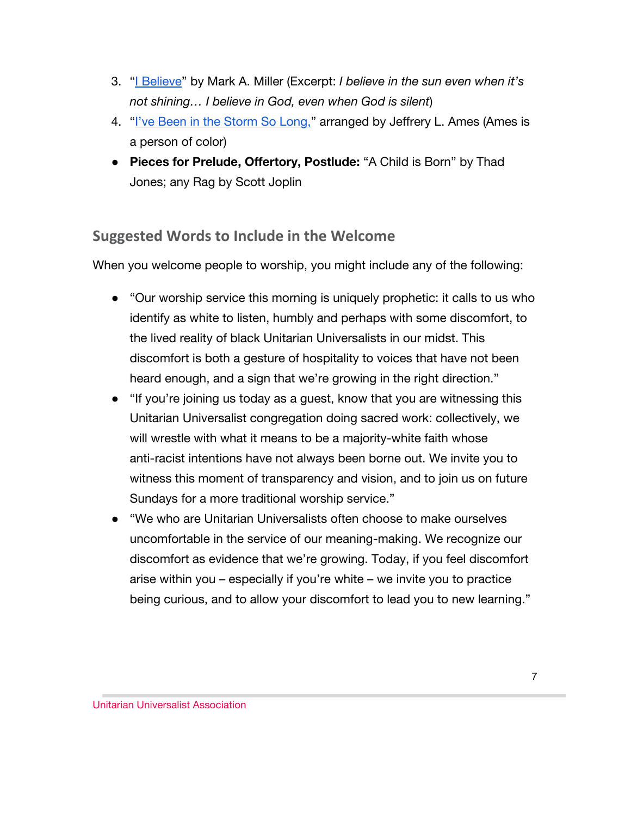- 3. "I [Believe](https://www.youtube.com/watch?v=Qfeb7dlChmE)" by Mark A. Miller (Excerpt: *I believe in the sun even when it's not shining… I believe in God, even when God is silent*)
- 4. "I've Been in the [Storm](https://www.youtube.com/watch?v=gpghK5sHofw) So Long," arranged by Jeffrery L. Ames (Ames is a person of color)
- **● Pieces for Prelude, Offertory, Postlude:** "A Child is Born" by Thad Jones; any Rag by Scott Joplin

### **Suggested Words to Include in the Welcome**

When you welcome people to worship, you might include any of the following:

- "Our worship service this morning is uniquely prophetic: it calls to us who identify as white to listen, humbly and perhaps with some discomfort, to the lived reality of black Unitarian Universalists in our midst. This discomfort is both a gesture of hospitality to voices that have not been heard enough, and a sign that we're growing in the right direction."
- "If you're joining us today as a guest, know that you are witnessing this Unitarian Universalist congregation doing sacred work: collectively, we will wrestle with what it means to be a majority-white faith whose anti-racist intentions have not always been borne out. We invite you to witness this moment of transparency and vision, and to join us on future Sundays for a more traditional worship service."
- "We who are Unitarian Universalists often choose to make ourselves uncomfortable in the service of our meaning-making. We recognize our discomfort as evidence that we're growing. Today, if you feel discomfort arise within you – especially if you're white – we invite you to practice being curious, and to allow your discomfort to lead you to new learning."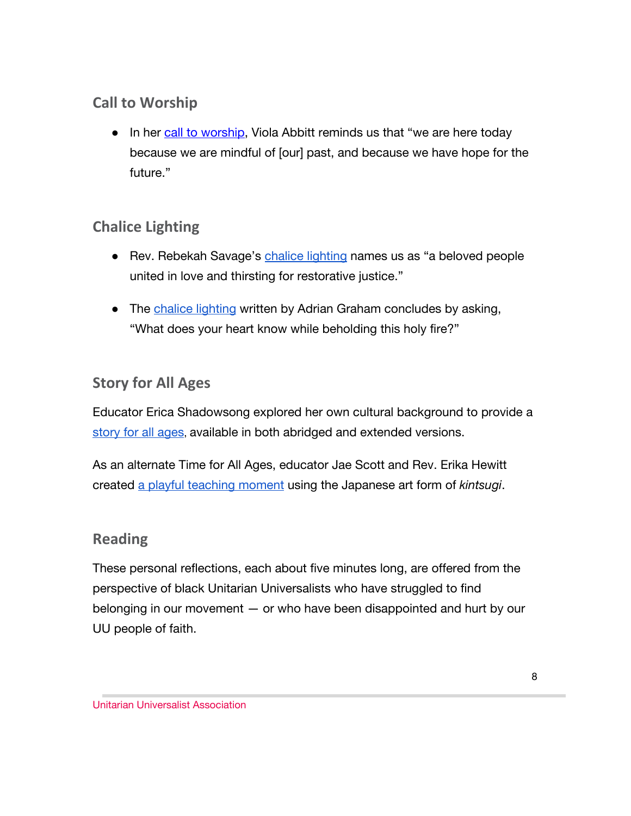# **Call to Worship**

• In her call to [worship,](https://www.uua.org/worship/words/invocation/promise-and-practice-call-worship) Viola Abbitt reminds us that "we are here today because we are mindful of [our] past, and because we have hope for the future."

# **Chalice Lighting**

- Rev. Rebekah Savage's chalice [lighting](https://www.uua.org/worship/words/chalice-lighting/promise-and-practice-chalice-lighting-1) names us as "a beloved people united in love and thirsting for restorative justice."
- The chalice [lighting](https://www.uua.org/worship/words/chalice-lighting/promise-and-practice-chalice-lighting-2) written by Adrian Graham concludes by asking, "What does your heart know while beholding this holy fire?"

## **Story for All Ages**

Educator Erica Shadowsong explored her own cultural background to provide a [story](https://www.uua.org/worship/words/time-all-ages/promise-and-practice-story-all-ages) for all ages, available in both abridged and extended versions.

As an alternate Time for All Ages, educator Jae Scott and Rev. Erika Hewitt created a playful [teaching](https://www.uua.org/worship/words/time-all-ages/promise-and-practice-repairing-our-mistakes-love-time-all-ages) moment using the Japanese art form of *kintsugi*.

#### **Reading**

These personal reflections, each about five minutes long, are offered from the perspective of black Unitarian Universalists who have struggled to find belonging in our movement — or who have been disappointed and hurt by our UU people of faith.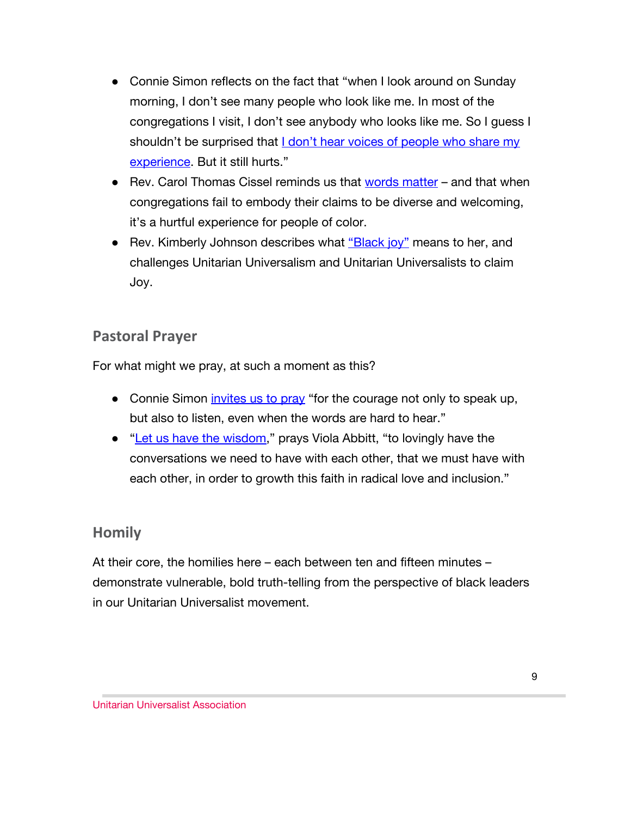- Connie Simon reflects on the fact that "when I look around on Sunday morning, I don't see many people who look like me. In most of the congregations I visit, I don't see anybody who looks like me. So I guess I shouldn't be surprised that I don't hear voices of [people](https://www.uua.org/worship/words/reading/promise-and-practice-missing-voices-reading) who share my [experience.](https://www.uua.org/worship/words/reading/promise-and-practice-missing-voices-reading) But it still hurts."
- Rev. Carol Thomas Cissel reminds us that words [matter](https://www.uua.org/worship/words/reading/promise-and-practice-words-matter-reading) and that when congregations fail to embody their claims to be diverse and welcoming, it's a hurtful experience for people of color.
- Rev. Kimberly Johnson describes what ["Black](https://www.uua.org/worship/words/reading/promise-and-practice-joy-unspeakable-reading) joy" means to her, and challenges Unitarian Universalism and Unitarian Universalists to claim Joy.

### **Pastoral Prayer**

For what might we pray, at such a moment as this?

- Connie Simon [invites](https://www.uua.org/worship/words/prayer/promise-and-practice-pastoral-prayer-1) us to pray "for the courage not only to speak up, but also to listen, even when the words are hard to hear."
- "Let us have the [wisdom,](https://www.uua.org/worship/words/prayer/promise-and-practice-pastoral-prayer-2)" prays Viola Abbitt, "to lovingly have the conversations we need to have with each other, that we must have with each other, in order to growth this faith in radical love and inclusion."

#### **Homily**

At their core, the homilies here – each between ten and fifteen minutes – demonstrate vulnerable, bold truth-telling from the perspective of black leaders in our Unitarian Universalist movement.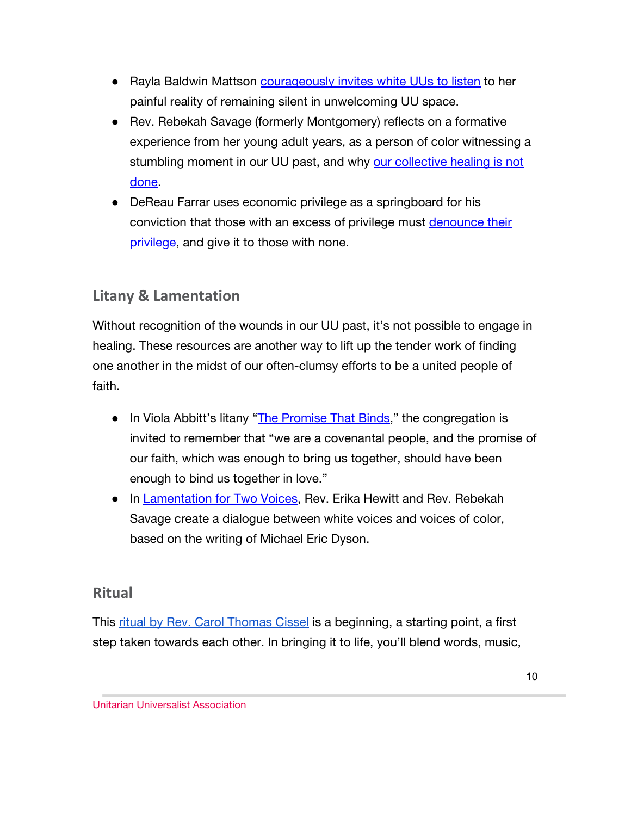- Rayla Baldwin Mattson [courageously](https://www.uua.org/worship/words/homily/promise-and-practice-tired-being-silent-reflection) invites white UUs to listen to her painful reality of remaining silent in unwelcoming UU space.
- Rev. Rebekah Savage (formerly Montgomery) reflects on a formative experience from her young adult years, as a person of color witnessing a stumbling moment in our UU past, and why our [collective](https://www.uua.org/worship/words/homily/promise-and-practice-healing-not-done-reflection) healing is not [done](https://www.uua.org/worship/words/homily/promise-and-practice-healing-not-done-reflection).
- DeReau Farrar uses economic privilege as a springboard for his conviction that those with an excess of privilege must [denounce](https://www.uua.org/worship/words/homily/promise-and-practice-parable-privilege-reflection) their [privilege,](https://www.uua.org/worship/words/homily/promise-and-practice-parable-privilege-reflection) and give it to those with none.

### **Litany & Lamentation**

Without recognition of the wounds in our UU past, it's not possible to engage in healing. These resources are another way to lift up the tender work of finding one another in the midst of our often-clumsy efforts to be a united people of faith.

- In Viola Abbitt's litany "The [Promise](https://www.uua.org/worship/words/litany/promise-and-practice-litany-promise-binds) That Binds," the congregation is invited to remember that "we are a covenantal people, and the promise of our faith, which was enough to bring us together, should have been enough to bind us together in love."
- In [Lamentation](https://www.uua.org/worship/words/responsive-reading/promise-and-practice-lamentation-two-voices) for Two Voices, Rev. Erika Hewitt and Rev. Rebekah Savage create a dialogue between white voices and voices of color, based on the writing of Michael Eric Dyson.

#### **Ritual**

This ritual by Rev. Carol [Thomas](https://www.uua.org/worship/words/ritual/promise-and-practice-ritual-lamentation) Cissel is a beginning, a starting point, a first step taken towards each other. In bringing it to life, you'll blend words, music,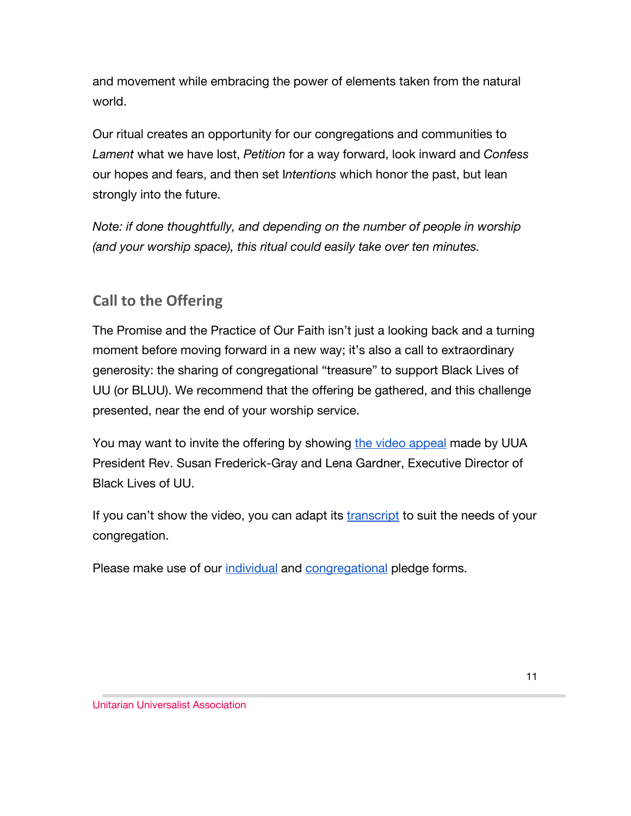and movement while embracing the power of elements taken from the natural world.

Our ritual creates an opportunity for our congregations and communities to *Lament* what we have lost, *Petition* for a way forward, look inward and *Confess* our hopes and fears, and then set I*ntentions* which honor the past, but lean strongly into the future.

*Note: if done thoughtfully, and depending on the number of people in worship (and your worship space), this ritual could easily take over ten minutes.*

# **Call to the Offering**

The Promise and the Practice of Our Faith isn't just a looking back and a turning moment before moving forward in a new way; it's also a call to extraordinary generosity: the sharing of congregational "treasure" to support Black Lives of UU (or BLUU). We recommend that the offering be gathered, and this challenge presented, near the end of your worship service.

You may want to invite the offering by showing the video [appeal](https://uuacdn.s3.amazonaws.com/videos/bluu-funding-appeal.mp4) made by UUA President Rev. Susan Frederick-Gray and Lena Gardner, Executive Director of Black Lives of UU.

If you can't show the video, you can adapt its [transcript](https://www.uua.org/worship/words/offering/promise-and-practice-invitation-offering) to suit the needs of your congregation.

Please make use of our [individual](https://www.uua.org/files/bluu-promise-practicepledge-formindividualpdf-1) and [congregational](https://www.uua.org/files/bluu-promise-practicepledge-formcongregationpdf) pledge forms.